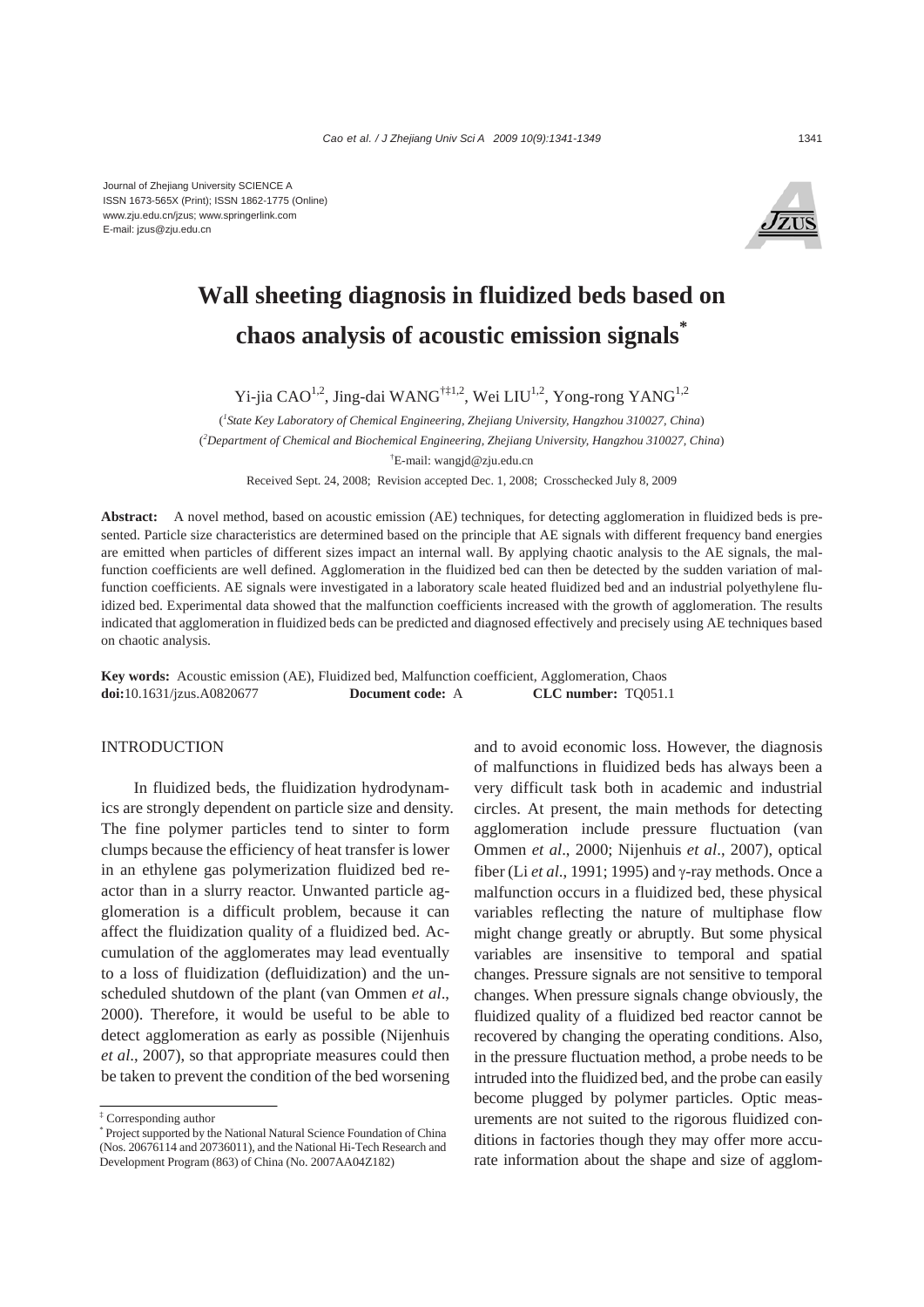Journal of Zhejiang University SCIENCE A ISSN 1673-565X (Print); ISSN 1862-1775 (Online) www.zju.edu.cn/jzus; www.springerlink.com E-mail: jzus@zju.edu.cn



# **Wall sheeting diagnosis in fluidized beds based on chaos analysis of acoustic emission signals\***

Yi-jia CAO<sup>1,2</sup>, Jing-dai WANG<sup>†‡1,2</sup>, Wei LIU<sup>1,2</sup>, Yong-rong YANG<sup>1,2</sup>

( *1 State Key Laboratory of Chemical Engineering, Zhejiang University, Hangzhou 310027, China*) ( *2 Department of Chemical and Biochemical Engineering, Zhejiang University, Hangzhou 310027, China*) † E-mail: wangjd@zju.edu.cn Received Sept. 24, 2008; Revision accepted Dec. 1, 2008; Crosschecked July 8, 2009

**Abstract:** A novel method, based on acoustic emission (AE) techniques, for detecting agglomeration in fluidized beds is presented. Particle size characteristics are determined based on the principle that AE signals with different frequency band energies are emitted when particles of different sizes impact an internal wall. By applying chaotic analysis to the AE signals, the malfunction coefficients are well defined. Agglomeration in the fluidized bed can then be detected by the sudden variation of malfunction coefficients. AE signals were investigated in a laboratory scale heated fluidized bed and an industrial polyethylene fluidized bed. Experimental data showed that the malfunction coefficients increased with the growth of agglomeration. The results indicated that agglomeration in fluidized beds can be predicted and diagnosed effectively and precisely using AE techniques based on chaotic analysis.

**Key words:** Acoustic emission (AE), Fluidized bed, Malfunction coefficient, Agglomeration, Chaos **doi:**10.1631/jzus.A0820677 **Document code:** A **CLC number:** TQ051.1

## INTRODUCTION

In fluidized beds, the fluidization hydrodynamics are strongly dependent on particle size and density. The fine polymer particles tend to sinter to form clumps because the efficiency of heat transfer is lower in an ethylene gas polymerization fluidized bed reactor than in a slurry reactor. Unwanted particle agglomeration is a difficult problem, because it can affect the fluidization quality of a fluidized bed. Accumulation of the agglomerates may lead eventually to a loss of fluidization (defluidization) and the unscheduled shutdown of the plant (van Ommen *et al*., 2000). Therefore, it would be useful to be able to detect agglomeration as early as possible (Nijenhuis *et al*., 2007), so that appropriate measures could then be taken to prevent the condition of the bed worsening

and to avoid economic loss. However, the diagnosis of malfunctions in fluidized beds has always been a very difficult task both in academic and industrial circles. At present, the main methods for detecting agglomeration include pressure fluctuation (van Ommen *et al*., 2000; Nijenhuis *et al*., 2007), optical fiber (Li *et al*., 1991; 1995) and γ-ray methods. Once a malfunction occurs in a fluidized bed, these physical variables reflecting the nature of multiphase flow might change greatly or abruptly. But some physical variables are insensitive to temporal and spatial changes. Pressure signals are not sensitive to temporal changes. When pressure signals change obviously, the fluidized quality of a fluidized bed reactor cannot be recovered by changing the operating conditions. Also, in the pressure fluctuation method, a probe needs to be intruded into the fluidized bed, and the probe can easily become plugged by polymer particles. Optic measurements are not suited to the rigorous fluidized conditions in factories though they may offer more accurate information about the shape and size of agglom-

<sup>‡</sup> Corresponding author

<sup>\*</sup> Project supported by the National Natural Science Foundation of China (Nos. 20676114 and 20736011), and the National Hi-Tech Research and Development Program (863) of China (No. 2007AA04Z182)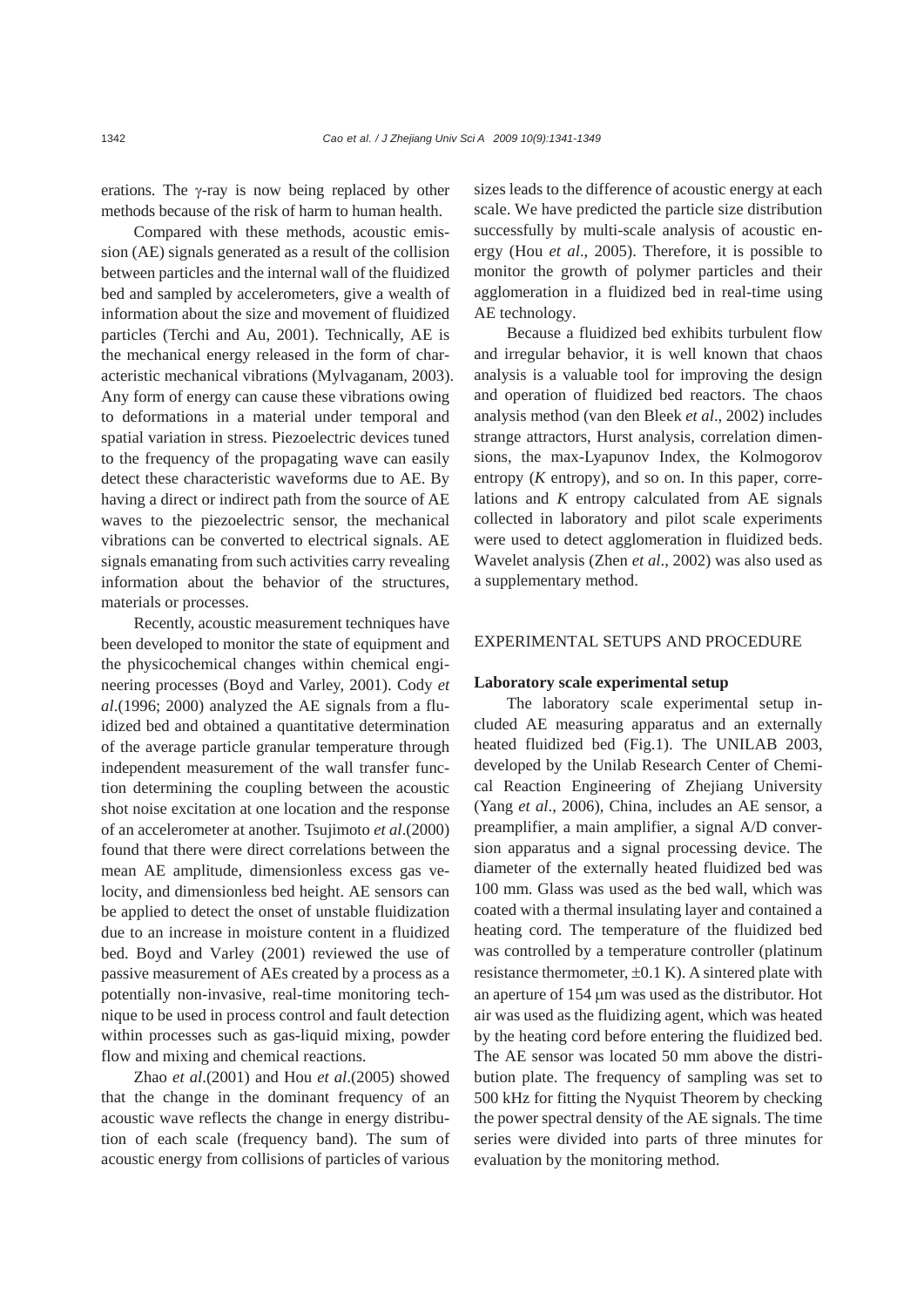erations. The γ-ray is now being replaced by other methods because of the risk of harm to human health.

Compared with these methods, acoustic emission (AE) signals generated as a result of the collision between particles and the internal wall of the fluidized bed and sampled by accelerometers, give a wealth of information about the size and movement of fluidized particles (Terchi and Au, 2001). Technically, AE is the mechanical energy released in the form of characteristic mechanical vibrations (Mylvaganam, 2003). Any form of energy can cause these vibrations owing to deformations in a material under temporal and spatial variation in stress. Piezoelectric devices tuned to the frequency of the propagating wave can easily detect these characteristic waveforms due to AE. By having a direct or indirect path from the source of AE waves to the piezoelectric sensor, the mechanical vibrations can be converted to electrical signals. AE signals emanating from such activities carry revealing information about the behavior of the structures, materials or processes.

Recently, acoustic measurement techniques have been developed to monitor the state of equipment and the physicochemical changes within chemical engineering processes (Boyd and Varley, 2001). Cody *et al*.(1996; 2000) analyzed the AE signals from a fluidized bed and obtained a quantitative determination of the average particle granular temperature through independent measurement of the wall transfer function determining the coupling between the acoustic shot noise excitation at one location and the response of an accelerometer at another. Tsujimoto *et al*.(2000) found that there were direct correlations between the mean AE amplitude, dimensionless excess gas velocity, and dimensionless bed height. AE sensors can be applied to detect the onset of unstable fluidization due to an increase in moisture content in a fluidized bed. Boyd and Varley (2001) reviewed the use of passive measurement of AEs created by a process as a potentially non-invasive, real-time monitoring technique to be used in process control and fault detection within processes such as gas-liquid mixing, powder flow and mixing and chemical reactions.

Zhao *et al*.(2001) and Hou *et al*.(2005) showed that the change in the dominant frequency of an acoustic wave reflects the change in energy distribution of each scale (frequency band). The sum of acoustic energy from collisions of particles of various sizes leads to the difference of acoustic energy at each scale. We have predicted the particle size distribution successfully by multi-scale analysis of acoustic energy (Hou *et al*., 2005). Therefore, it is possible to monitor the growth of polymer particles and their agglomeration in a fluidized bed in real-time using AE technology.

Because a fluidized bed exhibits turbulent flow and irregular behavior, it is well known that chaos analysis is a valuable tool for improving the design and operation of fluidized bed reactors. The chaos analysis method (van den Bleek *et al*., 2002) includes strange attractors, Hurst analysis, correlation dimensions, the max-Lyapunov Index, the Kolmogorov entropy (*K* entropy), and so on. In this paper, correlations and *K* entropy calculated from AE signals collected in laboratory and pilot scale experiments were used to detect agglomeration in fluidized beds. Wavelet analysis (Zhen *et al*., 2002) was also used as a supplementary method.

### EXPERIMENTAL SETUPS AND PROCEDURE

#### **Laboratory scale experimental setup**

The laboratory scale experimental setup included AE measuring apparatus and an externally heated fluidized bed (Fig.1). The UNILAB 2003, developed by the Unilab Research Center of Chemical Reaction Engineering of Zhejiang University (Yang *et al*., 2006), China, includes an AE sensor, a preamplifier, a main amplifier, a signal A/D conversion apparatus and a signal processing device. The diameter of the externally heated fluidized bed was 100 mm. Glass was used as the bed wall, which was coated with a thermal insulating layer and contained a heating cord. The temperature of the fluidized bed was controlled by a temperature controller (platinum resistance thermometer,  $\pm 0.1$  K). A sintered plate with an aperture of 154 μm was used as the distributor. Hot air was used as the fluidizing agent, which was heated by the heating cord before entering the fluidized bed. The AE sensor was located 50 mm above the distribution plate. The frequency of sampling was set to 500 kHz for fitting the Nyquist Theorem by checking the power spectral density of the AE signals. The time series were divided into parts of three minutes for evaluation by the monitoring method.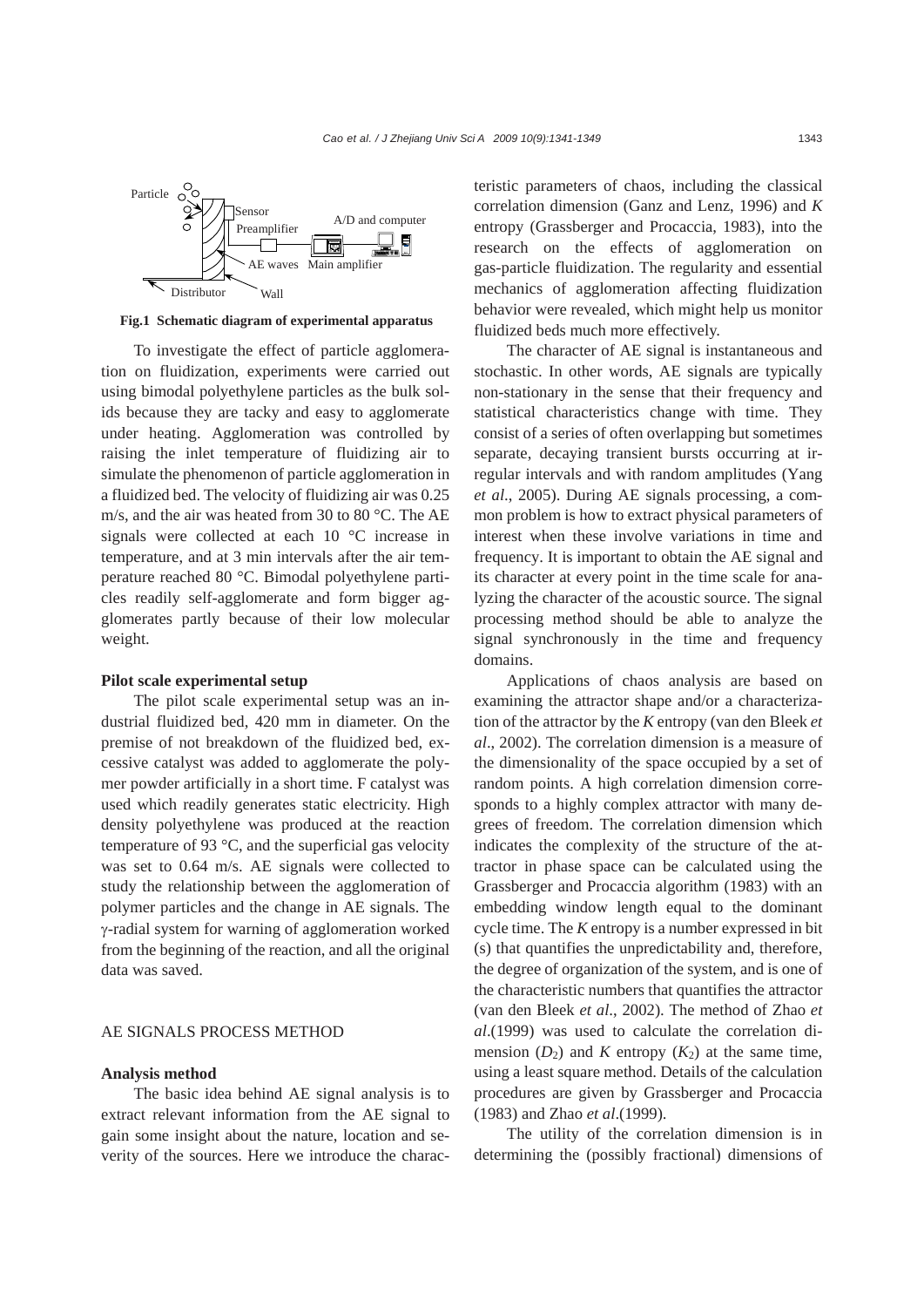

**Fig.1 Schematic diagram of experimental apparatus**

To investigate the effect of particle agglomeration on fluidization, experiments were carried out using bimodal polyethylene particles as the bulk solids because they are tacky and easy to agglomerate under heating. Agglomeration was controlled by raising the inlet temperature of fluidizing air to simulate the phenomenon of particle agglomeration in a fluidized bed. The velocity of fluidizing air was 0.25 m/s, and the air was heated from 30 to 80 °C. The AE signals were collected at each 10 °C increase in temperature, and at 3 min intervals after the air temperature reached 80 °C. Bimodal polyethylene particles readily self-agglomerate and form bigger agglomerates partly because of their low molecular weight.

# **Pilot scale experimental setup**

The pilot scale experimental setup was an industrial fluidized bed, 420 mm in diameter. On the premise of not breakdown of the fluidized bed, excessive catalyst was added to agglomerate the polymer powder artificially in a short time. F catalyst was used which readily generates static electricity. High density polyethylene was produced at the reaction temperature of 93 °C, and the superficial gas velocity was set to 0.64 m/s. AE signals were collected to study the relationship between the agglomeration of polymer particles and the change in AE signals. The γ-radial system for warning of agglomeration worked from the beginning of the reaction, and all the original data was saved.

### AE SIGNALS PROCESS METHOD

#### **Analysis method**

The basic idea behind AE signal analysis is to extract relevant information from the AE signal to gain some insight about the nature, location and severity of the sources. Here we introduce the characteristic parameters of chaos, including the classical correlation dimension (Ganz and Lenz, 1996) and *K* entropy (Grassberger and Procaccia, 1983), into the research on the effects of agglomeration on gas-particle fluidization. The regularity and essential mechanics of agglomeration affecting fluidization behavior were revealed, which might help us monitor fluidized beds much more effectively.

The character of AE signal is instantaneous and stochastic. In other words, AE signals are typically non-stationary in the sense that their frequency and statistical characteristics change with time. They consist of a series of often overlapping but sometimes separate, decaying transient bursts occurring at irregular intervals and with random amplitudes (Yang *et al*., 2005). During AE signals processing, a common problem is how to extract physical parameters of interest when these involve variations in time and frequency. It is important to obtain the AE signal and its character at every point in the time scale for analyzing the character of the acoustic source. The signal processing method should be able to analyze the signal synchronously in the time and frequency domains.

Applications of chaos analysis are based on examining the attractor shape and/or a characterization of the attractor by the *K* entropy (van den Bleek *et al*., 2002). The correlation dimension is a measure of the dimensionality of the space occupied by a set of random points. A high correlation dimension corresponds to a highly complex attractor with many degrees of freedom. The correlation dimension which indicates the complexity of the structure of the attractor in phase space can be calculated using the Grassberger and Procaccia algorithm (1983) with an embedding window length equal to the dominant cycle time. The *K* entropy is a number expressed in bit (s) that quantifies the unpredictability and, therefore, the degree of organization of the system, and is one of the characteristic numbers that quantifies the attractor (van den Bleek *et al*., 2002). The method of Zhao *et al*.(1999) was used to calculate the correlation dimension  $(D_2)$  and *K* entropy  $(K_2)$  at the same time, using a least square method. Details of the calculation procedures are given by Grassberger and Procaccia (1983) and Zhao *et al*.(1999).

The utility of the correlation dimension is in determining the (possibly fractional) dimensions of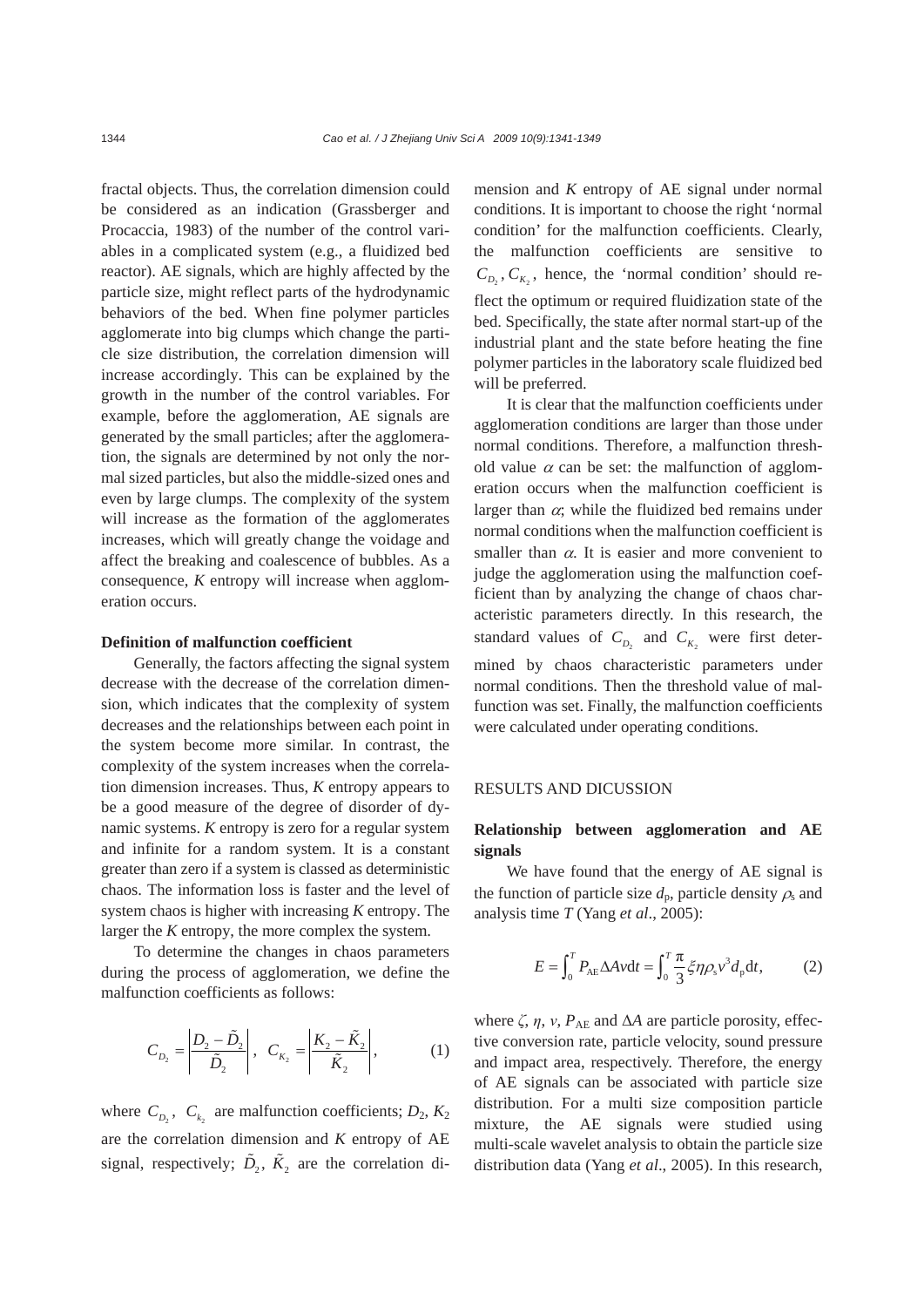fractal objects. Thus, the correlation dimension could be considered as an indication (Grassberger and Procaccia, 1983) of the number of the control variables in a complicated system (e.g., a fluidized bed reactor). AE signals, which are highly affected by the particle size, might reflect parts of the hydrodynamic behaviors of the bed. When fine polymer particles agglomerate into big clumps which change the particle size distribution, the correlation dimension will increase accordingly. This can be explained by the growth in the number of the control variables. For example, before the agglomeration, AE signals are generated by the small particles; after the agglomeration, the signals are determined by not only the normal sized particles, but also the middle-sized ones and even by large clumps. The complexity of the system will increase as the formation of the agglomerates increases, which will greatly change the voidage and affect the breaking and coalescence of bubbles. As a consequence, *K* entropy will increase when agglomeration occurs.

## **Definition of malfunction coefficient**

Generally, the factors affecting the signal system decrease with the decrease of the correlation dimension, which indicates that the complexity of system decreases and the relationships between each point in the system become more similar. In contrast, the complexity of the system increases when the correlation dimension increases. Thus, *K* entropy appears to be a good measure of the degree of disorder of dynamic systems. *K* entropy is zero for a regular system and infinite for a random system. It is a constant greater than zero if a system is classed as deterministic chaos. The information loss is faster and the level of system chaos is higher with increasing *K* entropy. The larger the *K* entropy, the more complex the system.

To determine the changes in chaos parameters during the process of agglomeration, we define the malfunction coefficients as follows:

$$
C_{D_2} = \left| \frac{D_2 - \tilde{D}_2}{\tilde{D}_2} \right|, \quad C_{K_2} = \left| \frac{K_2 - \tilde{K}_2}{\tilde{K}_2} \right|,
$$
 (1)

where  $C_{D_2}$ ,  $C_{k_2}$  are malfunction coefficients;  $D_2$ ,  $K_2$ are the correlation dimension and *K* entropy of AE signal, respectively;  $\tilde{D}_2$ ,  $\tilde{K}_2$  are the correlation dimension and *K* entropy of AE signal under normal conditions. It is important to choose the right 'normal condition' for the malfunction coefficients. Clearly, the malfunction coefficients are sensitive to  $C_{D_2}$ ,  $C_{K_2}$ , hence, the 'normal condition' should reflect the optimum or required fluidization state of the bed. Specifically, the state after normal start-up of the industrial plant and the state before heating the fine polymer particles in the laboratory scale fluidized bed will be preferred.

It is clear that the malfunction coefficients under agglomeration conditions are larger than those under normal conditions. Therefore, a malfunction threshold value  $\alpha$  can be set: the malfunction of agglomeration occurs when the malfunction coefficient is larger than  $\alpha$ ; while the fluidized bed remains under normal conditions when the malfunction coefficient is smaller than  $\alpha$ . It is easier and more convenient to judge the agglomeration using the malfunction coefficient than by analyzing the change of chaos characteristic parameters directly. In this research, the standard values of  $C_{p_2}$  and  $C_{K_2}$  were first determined by chaos characteristic parameters under normal conditions. Then the threshold value of malfunction was set. Finally, the malfunction coefficients were calculated under operating conditions.

## RESULTS AND DICUSSION

## **Relationship between agglomeration and AE signals**

We have found that the energy of AE signal is the function of particle size  $d_p$ , particle density  $\rho_s$  and analysis time *T* (Yang *et al*., 2005):

$$
E = \int_0^T P_{AE} \Delta A v dt = \int_0^T \frac{\pi}{3} \xi \eta \rho_s v^3 d_p dt, \qquad (2)
$$

where  $\zeta$ ,  $\eta$ ,  $v$ ,  $P_{AE}$  and  $\Delta A$  are particle porosity, effective conversion rate, particle velocity, sound pressure and impact area, respectively. Therefore, the energy of AE signals can be associated with particle size distribution. For a multi size composition particle mixture, the AE signals were studied using multi-scale wavelet analysis to obtain the particle size distribution data (Yang *et al*., 2005). In this research,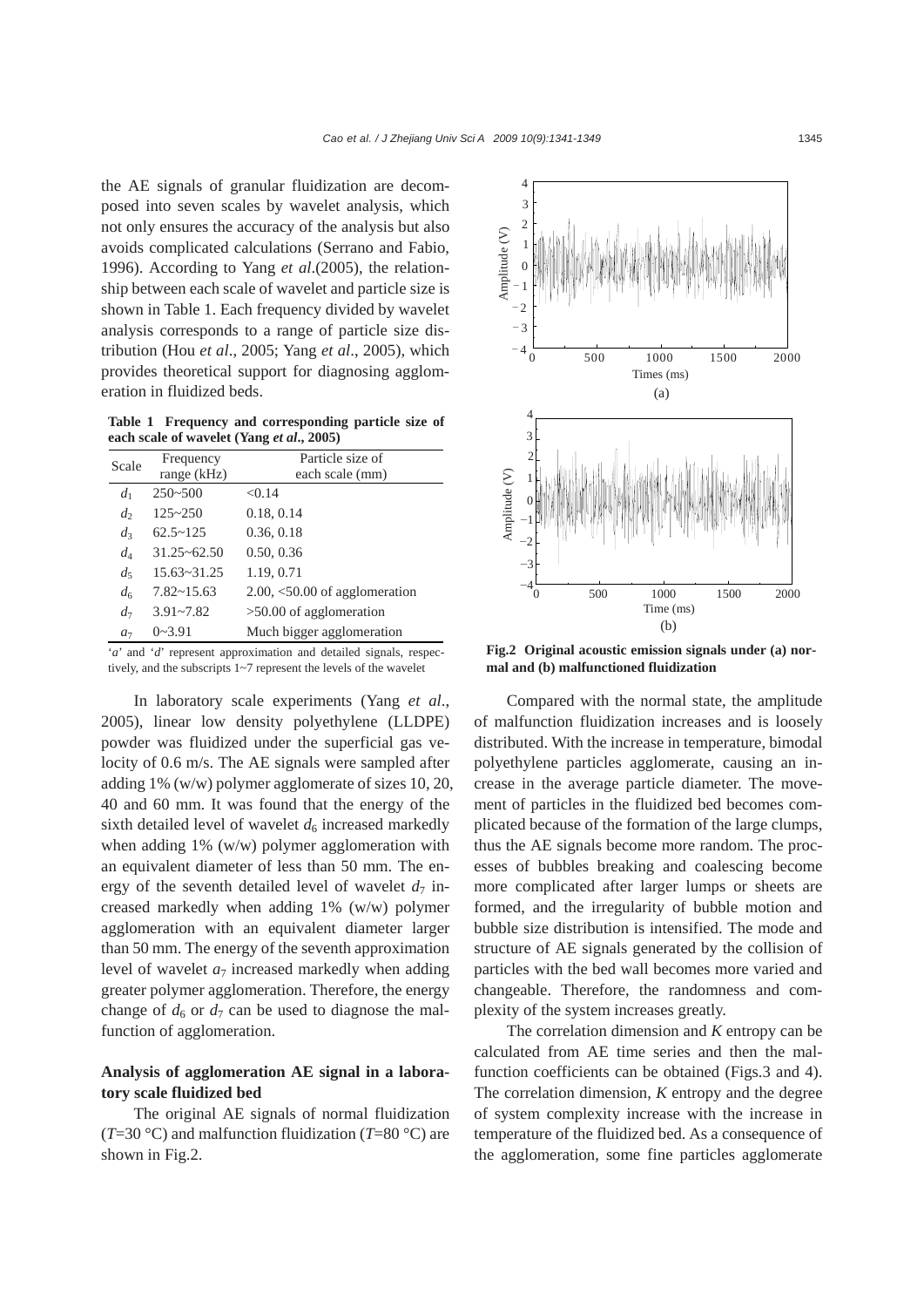the AE signals of granular fluidization are decomposed into seven scales by wavelet analysis, which not only ensures the accuracy of the analysis but also avoids complicated calculations (Serrano and Fabio, 1996). According to Yang *et al*.(2005), the relationship between each scale of wavelet and particle size is shown in Table 1. Each frequency divided by wavelet analysis corresponds to a range of particle size distribution (Hou *et al*., 2005; Yang *et al*., 2005), which provides theoretical support for diagnosing agglomeration in fluidized beds.

**Table 1 Frequency and corresponding particle size of each scale of wavelet (Yang** *et al***., 2005)** 

| Scale          | Frequency         | Particle size of                |
|----------------|-------------------|---------------------------------|
|                | range (kHz)       | each scale (mm)                 |
| $d_1$          | $250 - 500$       | < 0.14                          |
| d <sub>2</sub> | $125 - 250$       | 0.18, 0.14                      |
| $d_3$          | $62.5 \times 125$ | 0.36, 0.18                      |
| $d_4$          | $31.25 - 62.50$   | 0.50, 0.36                      |
| $d_5$          | $15.63 - 31.25$   | 1.19, 0.71                      |
| $d_6$          | $7.82 - 15.63$    | $2.00, <50.00$ of agglomeration |
| $d_7$          | $3.91 - 7.82$     | $>50.00$ of agglomeration       |
| a <sub>7</sub> | $0 - 3.91$        | Much bigger agglomeration       |

'*a*' and '*d*' represent approximation and detailed signals, respectively, and the subscripts 1~7 represent the levels of the wavelet

In laboratory scale experiments (Yang *et al*., 2005), linear low density polyethylene (LLDPE) powder was fluidized under the superficial gas velocity of 0.6 m/s. The AE signals were sampled after adding 1% (w/w) polymer agglomerate of sizes 10, 20, 40 and 60 mm. It was found that the energy of the sixth detailed level of wavelet  $d_6$  increased markedly when adding 1% (w/w) polymer agglomeration with an equivalent diameter of less than 50 mm. The energy of the seventh detailed level of wavelet  $d_7$  increased markedly when adding 1% (w/w) polymer agglomeration with an equivalent diameter larger than 50 mm. The energy of the seventh approximation level of wavelet  $a_7$  increased markedly when adding greater polymer agglomeration. Therefore, the energy change of  $d_6$  or  $d_7$  can be used to diagnose the malfunction of agglomeration.

# **Analysis of agglomeration AE signal in a laboratory scale fluidized bed**

The original AE signals of normal fluidization ( $T=30$  °C) and malfunction fluidization ( $T=80$  °C) are shown in Fig.2.



**Fig.2 Original acoustic emission signals under (a) normal and (b) malfunctioned fluidization** 

Compared with the normal state, the amplitude of malfunction fluidization increases and is loosely distributed. With the increase in temperature, bimodal polyethylene particles agglomerate, causing an increase in the average particle diameter. The movement of particles in the fluidized bed becomes complicated because of the formation of the large clumps, thus the AE signals become more random. The processes of bubbles breaking and coalescing become more complicated after larger lumps or sheets are formed, and the irregularity of bubble motion and bubble size distribution is intensified. The mode and structure of AE signals generated by the collision of particles with the bed wall becomes more varied and changeable. Therefore, the randomness and complexity of the system increases greatly.

The correlation dimension and *K* entropy can be calculated from AE time series and then the malfunction coefficients can be obtained (Figs.3 and 4). The correlation dimension, *K* entropy and the degree of system complexity increase with the increase in temperature of the fluidized bed. As a consequence of the agglomeration, some fine particles agglomerate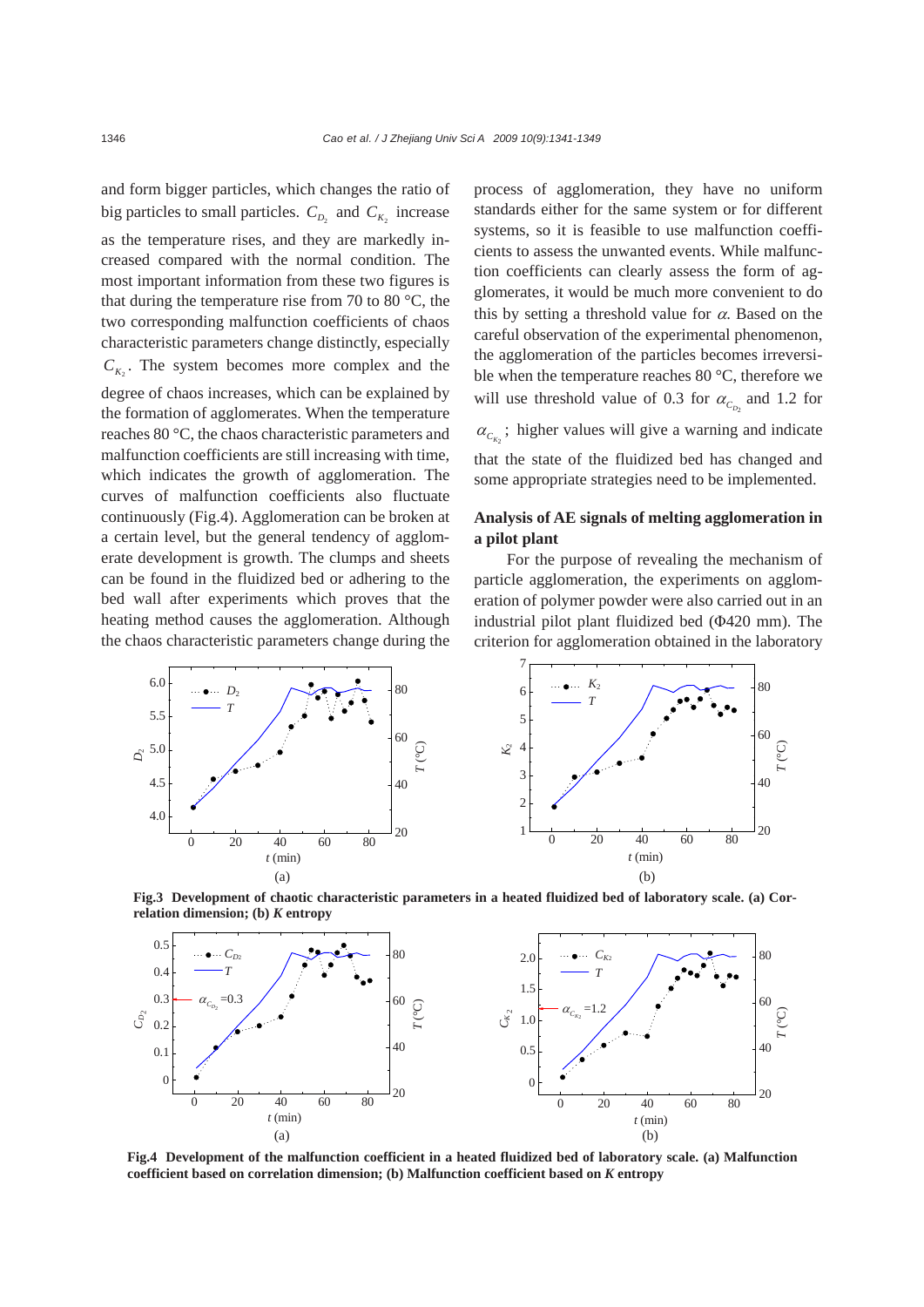and form bigger particles, which changes the ratio of big particles to small particles.  $C_{D_2}$  and  $C_{K_2}$  increase as the temperature rises, and they are markedly increased compared with the normal condition. The most important information from these two figures is that during the temperature rise from 70 to 80  $^{\circ}$ C, the two corresponding malfunction coefficients of chaos characteristic parameters change distinctly, especially  $C_{K_2}$ . The system becomes more complex and the

degree of chaos increases, which can be explained by the formation of agglomerates. When the temperature reaches 80 °C, the chaos characteristic parameters and malfunction coefficients are still increasing with time, which indicates the growth of agglomeration. The curves of malfunction coefficients also fluctuate continuously (Fig.4). Agglomeration can be broken at a certain level, but the general tendency of agglomerate development is growth. The clumps and sheets can be found in the fluidized bed or adhering to the bed wall after experiments which proves that the heating method causes the agglomeration. Although the chaos characteristic parameters change during the process of agglomeration, they have no uniform standards either for the same system or for different systems, so it is feasible to use malfunction coefficients to assess the unwanted events. While malfunction coefficients can clearly assess the form of agglomerates, it would be much more convenient to do this by setting a threshold value for  $\alpha$ . Based on the careful observation of the experimental phenomenon, the agglomeration of the particles becomes irreversible when the temperature reaches 80 °C, therefore we will use threshold value of 0.3 for  $\alpha_{C_{D_2}}$  and 1.2 for

 $\alpha_{C_{K_2}}$ ; higher values will give a warning and indicate that the state of the fluidized bed has changed and some appropriate strategies need to be implemented.

# **Analysis of AE signals of melting agglomeration in a pilot plant**

For the purpose of revealing the mechanism of particle agglomeration, the experiments on agglomeration of polymer powder were also carried out in an industrial pilot plant fluidized bed (Φ420 mm). The criterion for agglomeration obtained in the laboratory







**Fig.4 Development of the malfunction coefficient in a heated fluidized bed of laboratory scale. (a) Malfunction coefficient based on correlation dimension; (b) Malfunction coefficient based on** *K* **entropy**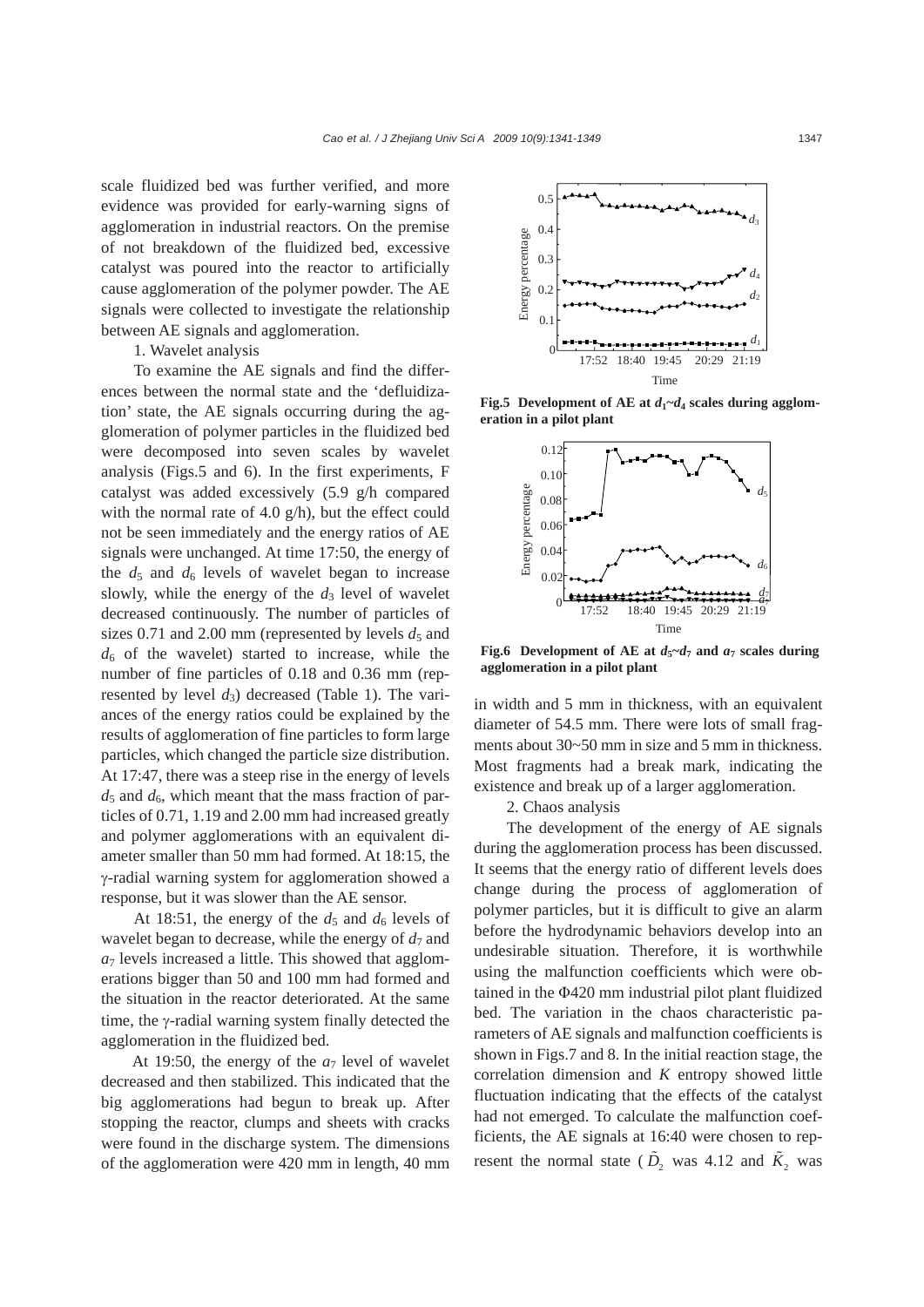scale fluidized bed was further verified, and more evidence was provided for early-warning signs of agglomeration in industrial reactors. On the premise of not breakdown of the fluidized bed, excessive catalyst was poured into the reactor to artificially cause agglomeration of the polymer powder. The AE signals were collected to investigate the relationship between AE signals and agglomeration.

1. Wavelet analysis

To examine the AE signals and find the differences between the normal state and the 'defluidization' state, the AE signals occurring during the agglomeration of polymer particles in the fluidized bed were decomposed into seven scales by wavelet analysis (Figs.5 and 6). In the first experiments, F catalyst was added excessively (5.9 g/h compared with the normal rate of 4.0  $g/h$ ), but the effect could not be seen immediately and the energy ratios of AE signals were unchanged. At time 17:50, the energy of the  $d_5$  and  $d_6$  levels of wavelet began to increase slowly, while the energy of the  $d_3$  level of wavelet decreased continuously. The number of particles of sizes  $0.71$  and  $2.00$  mm (represented by levels  $d_5$  and  $d_6$  of the wavelet) started to increase, while the number of fine particles of 0.18 and 0.36 mm (represented by level  $d_3$ ) decreased (Table 1). The variances of the energy ratios could be explained by the results of agglomeration of fine particles to form large particles, which changed the particle size distribution. At 17:47, there was a steep rise in the energy of levels  $d_5$  and  $d_6$ , which meant that the mass fraction of particles of 0.71, 1.19 and 2.00 mm had increased greatly and polymer agglomerations with an equivalent diameter smaller than 50 mm had formed. At 18:15, the γ-radial warning system for agglomeration showed a response, but it was slower than the AE sensor.

At 18:51, the energy of the  $d_5$  and  $d_6$  levels of wavelet began to decrease, while the energy of  $d_7$  and  $a_7$  levels increased a little. This showed that agglomerations bigger than 50 and 100 mm had formed and the situation in the reactor deteriorated. At the same time, the γ-radial warning system finally detected the agglomeration in the fluidized bed.

At 19:50, the energy of the  $a_7$  level of wavelet decreased and then stabilized. This indicated that the big agglomerations had begun to break up. After stopping the reactor, clumps and sheets with cracks were found in the discharge system. The dimensions of the agglomeration were 420 mm in length, 40 mm



**Fig.5** Development of AE at  $d_1 \sim d_4$  scales during agglom**eration in a pilot plant** 



**Fig.6** Development of AE at  $d_5 \sim d_7$  and  $a_7$  scales during **agglomeration in a pilot plant** 

in width and 5 mm in thickness, with an equivalent diameter of 54.5 mm. There were lots of small fragments about 30~50 mm in size and 5 mm in thickness. Most fragments had a break mark, indicating the existence and break up of a larger agglomeration.

2. Chaos analysis

The development of the energy of AE signals during the agglomeration process has been discussed. It seems that the energy ratio of different levels does change during the process of agglomeration of polymer particles, but it is difficult to give an alarm before the hydrodynamic behaviors develop into an undesirable situation. Therefore, it is worthwhile using the malfunction coefficients which were obtained in the Φ420 mm industrial pilot plant fluidized bed. The variation in the chaos characteristic parameters of AE signals and malfunction coefficients is shown in Figs.7 and 8. In the initial reaction stage, the correlation dimension and *K* entropy showed little fluctuation indicating that the effects of the catalyst had not emerged. To calculate the malfunction coefficients, the AE signals at 16:40 were chosen to represent the normal state ( $\tilde{D}_2$  was 4.12 and  $\tilde{K}_2$  was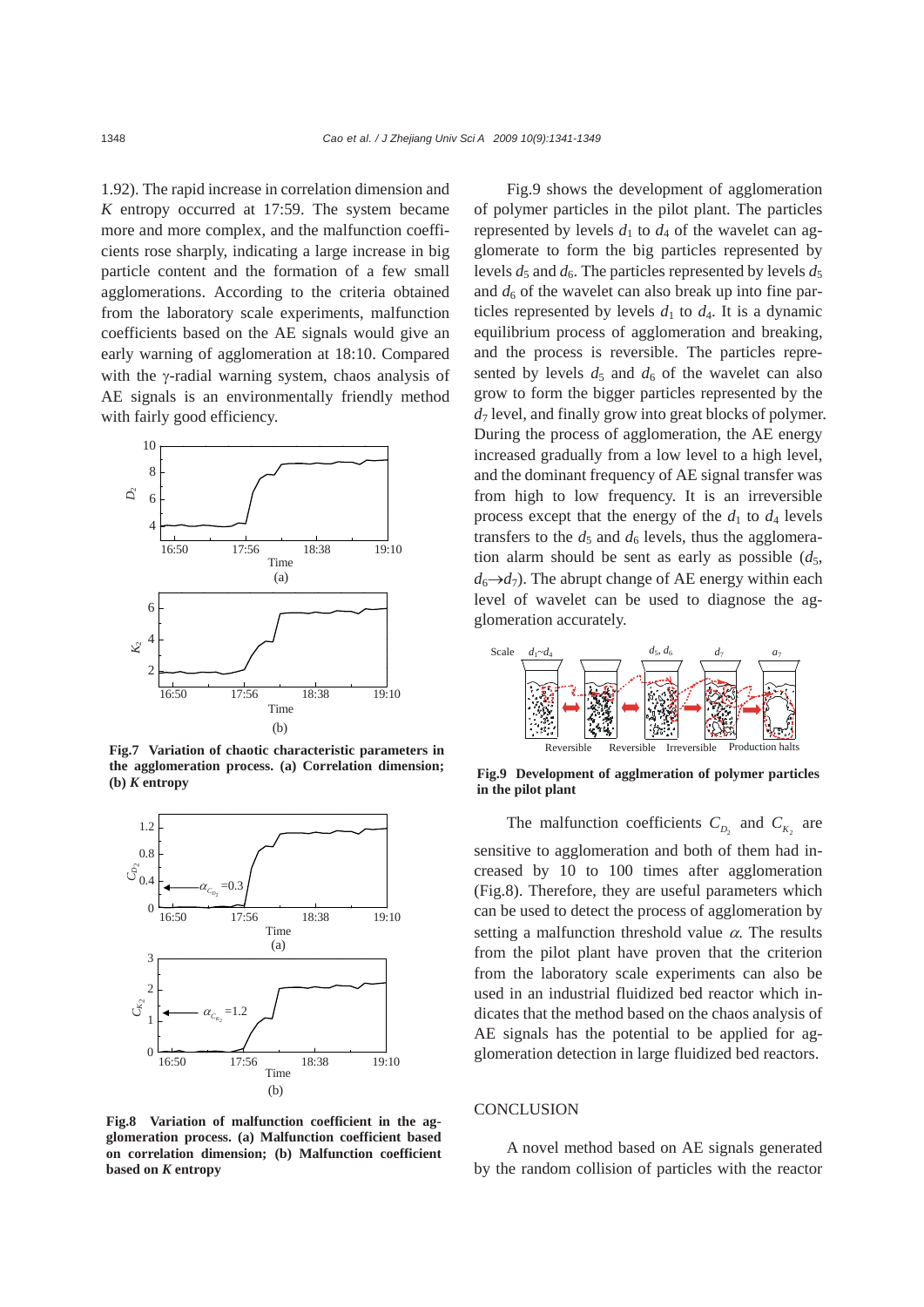1.92). The rapid increase in correlation dimension and *K* entropy occurred at 17:59. The system became more and more complex, and the malfunction coefficients rose sharply, indicating a large increase in big particle content and the formation of a few small agglomerations. According to the criteria obtained from the laboratory scale experiments, malfunction coefficients based on the AE signals would give an early warning of agglomeration at 18:10. Compared with the γ-radial warning system, chaos analysis of AE signals is an environmentally friendly method with fairly good efficiency.



**Fig.7 Variation of chaotic characteristic parameters in the agglomeration process. (a) Correlation dimension; (b)** *K* **entropy** 



**Fig.8 Variation of malfunction coefficient in the agglomeration process. (a) Malfunction coefficient based on correlation dimension; (b) Malfunction coefficient based on** *K* **entropy** 

Fig.9 shows the development of agglomeration of polymer particles in the pilot plant. The particles represented by levels  $d_1$  to  $d_4$  of the wavelet can agglomerate to form the big particles represented by levels  $d_5$  and  $d_6$ . The particles represented by levels  $d_5$ and  $d_6$  of the wavelet can also break up into fine particles represented by levels  $d_1$  to  $d_4$ . It is a dynamic equilibrium process of agglomeration and breaking, and the process is reversible. The particles represented by levels  $d_5$  and  $d_6$  of the wavelet can also grow to form the bigger particles represented by the *d*7 level, and finally grow into great blocks of polymer. During the process of agglomeration, the AE energy increased gradually from a low level to a high level, and the dominant frequency of AE signal transfer was from high to low frequency. It is an irreversible process except that the energy of the  $d_1$  to  $d_4$  levels transfers to the  $d_5$  and  $d_6$  levels, thus the agglomeration alarm should be sent as early as possible  $(d_5,$  $d_6 \rightarrow d_7$ ). The abrupt change of AE energy within each level of wavelet can be used to diagnose the agglomeration accurately.



**Fig.9 Development of agglmeration of polymer particles in the pilot plant** 

The malfunction coefficients  $C_{D_2}$  and  $C_{K_2}$  are sensitive to agglomeration and both of them had increased by 10 to 100 times after agglomeration (Fig.8). Therefore, they are useful parameters which can be used to detect the process of agglomeration by setting a malfunction threshold value  $\alpha$ . The results from the pilot plant have proven that the criterion from the laboratory scale experiments can also be used in an industrial fluidized bed reactor which indicates that the method based on the chaos analysis of AE signals has the potential to be applied for agglomeration detection in large fluidized bed reactors.

#### **CONCLUSION**

A novel method based on AE signals generated by the random collision of particles with the reactor